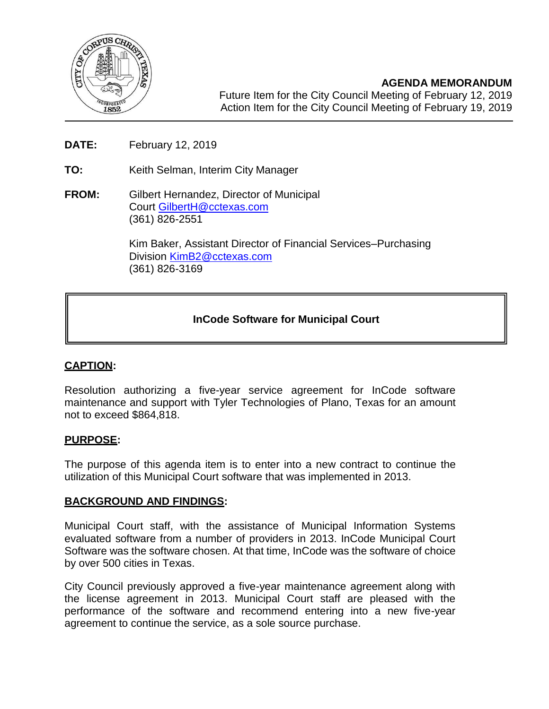

# **AGENDA MEMORANDUM**

Future Item for the City Council Meeting of February 12, 2019 Action Item for the City Council Meeting of February 19, 2019

- **DATE:** February 12, 2019
- **TO:** Keith Selman, Interim City Manager
- **FROM:** Gilbert Hernandez, Director of Municipal Court [GilbertH@cctexas.com](mailto:GilbertH@cctexas.com) (361) 826-2551

Kim Baker, Assistant Director of Financial Services–Purchasing Division [KimB2@cctexas.com](mailto:KimB2@cctexas.com) (361) 826-3169

## **InCode Software for Municipal Court**

### **CAPTION:**

Resolution authorizing a five-year service agreement for InCode software maintenance and support with Tyler Technologies of Plano, Texas for an amount not to exceed \$864,818.

### **PURPOSE:**

The purpose of this agenda item is to enter into a new contract to continue the utilization of this Municipal Court software that was implemented in 2013.

### **BACKGROUND AND FINDINGS:**

Municipal Court staff, with the assistance of Municipal Information Systems evaluated software from a number of providers in 2013. InCode Municipal Court Software was the software chosen. At that time, InCode was the software of choice by over 500 cities in Texas.

City Council previously approved a five-year maintenance agreement along with the license agreement in 2013. Municipal Court staff are pleased with the performance of the software and recommend entering into a new five-year agreement to continue the service, as a sole source purchase.